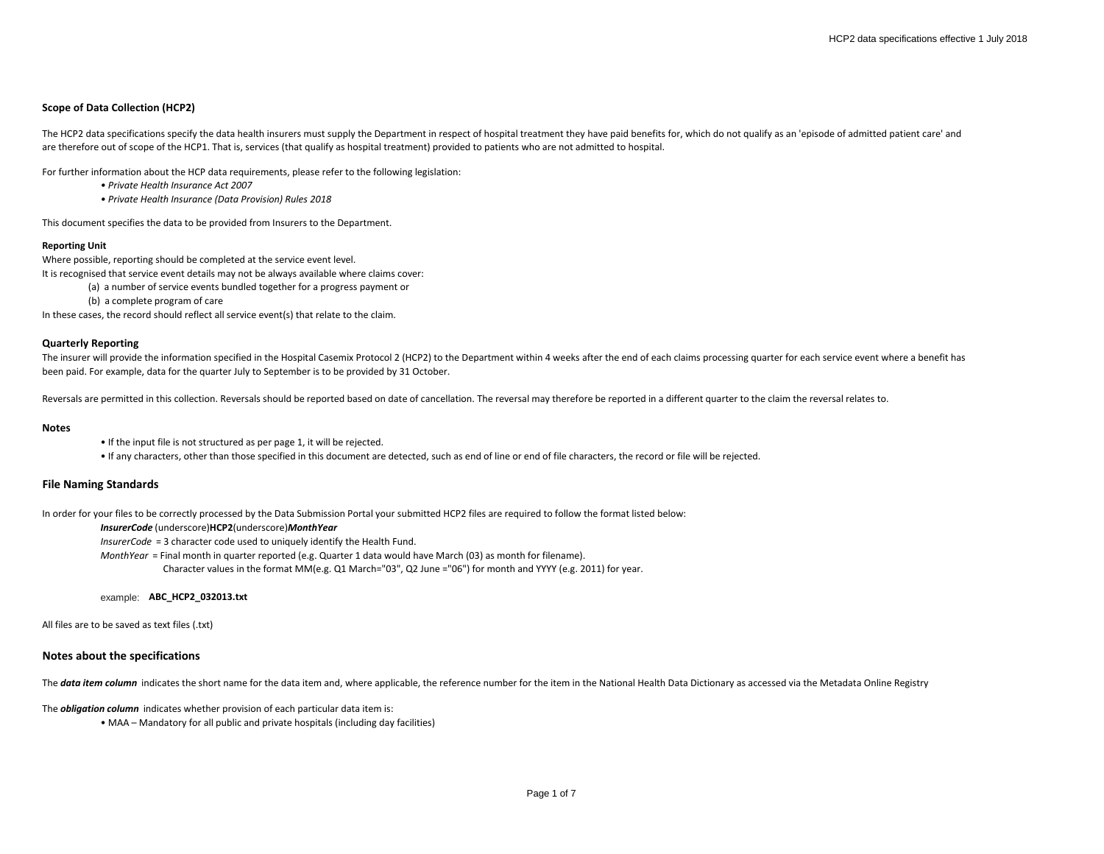# **Scope of Data Collection (HCP2)**

The HCP2 data specifications specify the data health insurers must supply the Department in respect of hospital treatment they have paid benefits for, which do not qualify as an 'episode of admitted patient care' and are therefore out of scope of the HCP1. That is, services (that qualify as hospital treatment) provided to patients who are not admitted to hospital.

For further information about the HCP data requirements, please refer to the following legislation:

*• Private Health Insurance Act 2007*

*• Private Health Insurance (Data Provision) Rules 2018*

This document specifies the data to be provided from Insurers to the Department.

## **Reporting Unit**

Where possible, reporting should be completed at the service event level.

It is recognised that service event details may not be always available where claims cover:

(a) a number of service events bundled together for a progress payment or

(b) a complete program of care

In these cases, the record should reflect all service event(s) that relate to the claim.

## **Quarterly Reporting**

The insurer will provide the information specified in the Hospital Casemix Protocol 2 (HCP2) to the Department within 4 weeks after the end of each claims processing quarter for each service event where a benefit has been paid. For example, data for the quarter July to September is to be provided by 31 October.

Reversals are permitted in this collection. Reversals should be reported based on date of cancellation. The reversal may therefore be reported in a different quarter to the claim the reversal relates to.

#### **Notes**

• If the input file is not structured as per page 1, it will be rejected.

• If any characters, other than those specified in this document are detected, such as end of line or end of file characters, the record or file will be rejected.

# **File Naming Standards**

In order for your files to be correctly processed by the Data Submission Portal your submitted HCP2 files are required to follow the format listed below:

## *InsurerCode* (underscore)**HCP2**(underscore)*MonthYear*

*InsurerCode* = 3 character code used to uniquely identify the Health Fund.

*MonthYear* = Final month in quarter reported (e.g. Quarter 1 data would have March (03) as month for filename).

Character values in the format MM(e.g. Q1 March="03", Q2 June ="06") for month and YYYY (e.g. 2011) for year.

#### example: **ABC\_HCP2\_032013.txt**

All files are to be saved as text files (.txt)

# **Notes about the specifications**

The data item column indicates the short name for the data item and, where applicable, the reference number for the item in the National Health Data Dictionary as accessed via the Metadata Online Registry

The *obligation column* indicates whether provision of each particular data item is:

• MAA – Mandatory for all public and private hospitals (including day facilities)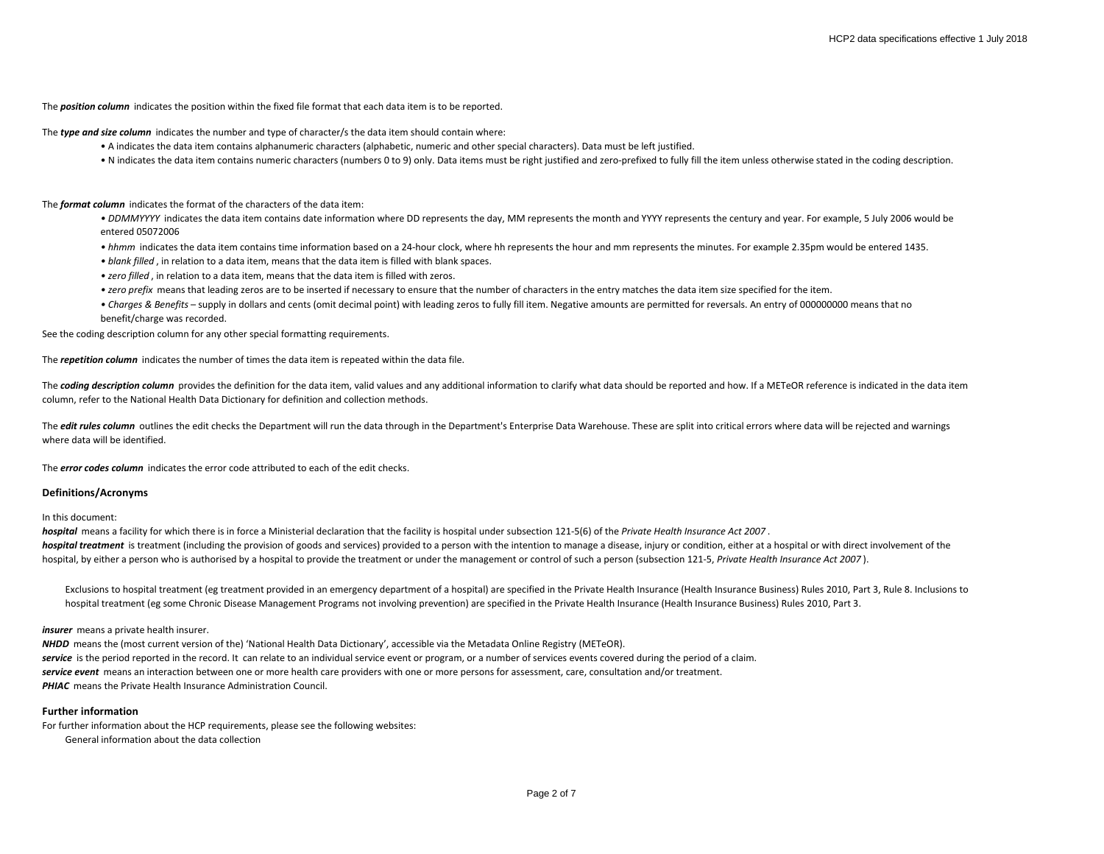The *position column* indicates the position within the fixed file format that each data item is to be reported.

The *type and size column* indicates the number and type of character/s the data item should contain where:

- A indicates the data item contains alphanumeric characters (alphabetic, numeric and other special characters). Data must be left justified.
- N indicates the data item contains numeric characters (numbers 0 to 9) only. Data items must be right justified and zero-prefixed to fully fill the item unless otherwise stated in the coding description.

The *format column* indicates the format of the characters of the data item:

• DDMMYYYY indicates the data item contains date information where DD represents the day, MM represents the month and YYYY represents the century and year. For example, 5 July 2006 would be entered 05072006

*• hhmm* indicates the data item contains time information based on a 24-hour clock, where hh represents the hour and mm represents the minutes. For example 2.35pm would be entered 1435.

*• blank filled* , in relation to a data item, means that the data item is filled with blank spaces.

- *zero filled* , in relation to a data item, means that the data item is filled with zeros.
- *zero prefix* means that leading zeros are to be inserted if necessary to ensure that the number of characters in the entry matches the data item size specified for the item.
- *Charges & Benefits* supply in dollars and cents (omit decimal point) with leading zeros to fully fill item. Negative amounts are permitted for reversals. An entry of 000000000 means that no benefit/charge was recorded.

See the coding description column for any other special formatting requirements.

The *repetition column* indicates the number of times the data item is repeated within the data file.

The **coding description column** provides the definition for the data item, valid values and any additional information to clarify what data should be reported and how. If a METeOR reference is indicated in the data item column, refer to the National Health Data Dictionary for definition and collection methods.

The *edit rules column* outlines the edit checks the Department will run the data through in the Department's Enterprise Data Warehouse. These are split into critical errors where data will be rejected and warnings where data will be identified.

The *error codes column* indicates the error code attributed to each of the edit checks.

## **Definitions/Acronyms**

In this document:

*hospital* means a facility for which there is in force a Ministerial declaration that the facility is hospital under subsection 121-5(6) of the *Private Health Insurance Act 2007* . hospital treatment is treatment (including the provision of goods and services) provided to a person with the intention to manage a disease, injury or condition, either at a hospital or with direct involvement of the hospital, by either a person who is authorised by a hospital to provide the treatment or under the management or control of such a person (subsection 121-5, *Private Health Insurance Act 2007* ).

Exclusions to hospital treatment (eg treatment provided in an emergency department of a hospital) are specified in the Private Health Insurance (Health Insurance Business) Rules 2010, Part 3, Rule 8. Inclusions to hospital treatment (eg some Chronic Disease Management Programs not involving prevention) are specified in the Private Health Insurance (Health Insurance Business) Rules 2010, Part 3.

#### *insurer* means a private health insurer.

*NHDD* means the (most current version of the) 'National Health Data Dictionary', accessible via the Metadata Online Registry (METeOR). service is the period reported in the record. It can relate to an individual service event or program, or a number of services events covered during the period of a claim. *service event* means an interaction between one or more health care providers with one or more persons for assessment, care, consultation and/or treatment. **PHIAC** means the Private Health Insurance Administration Council.

# **Further information**

For further information about the HCP requirements, please see the following websites: General information about the data collection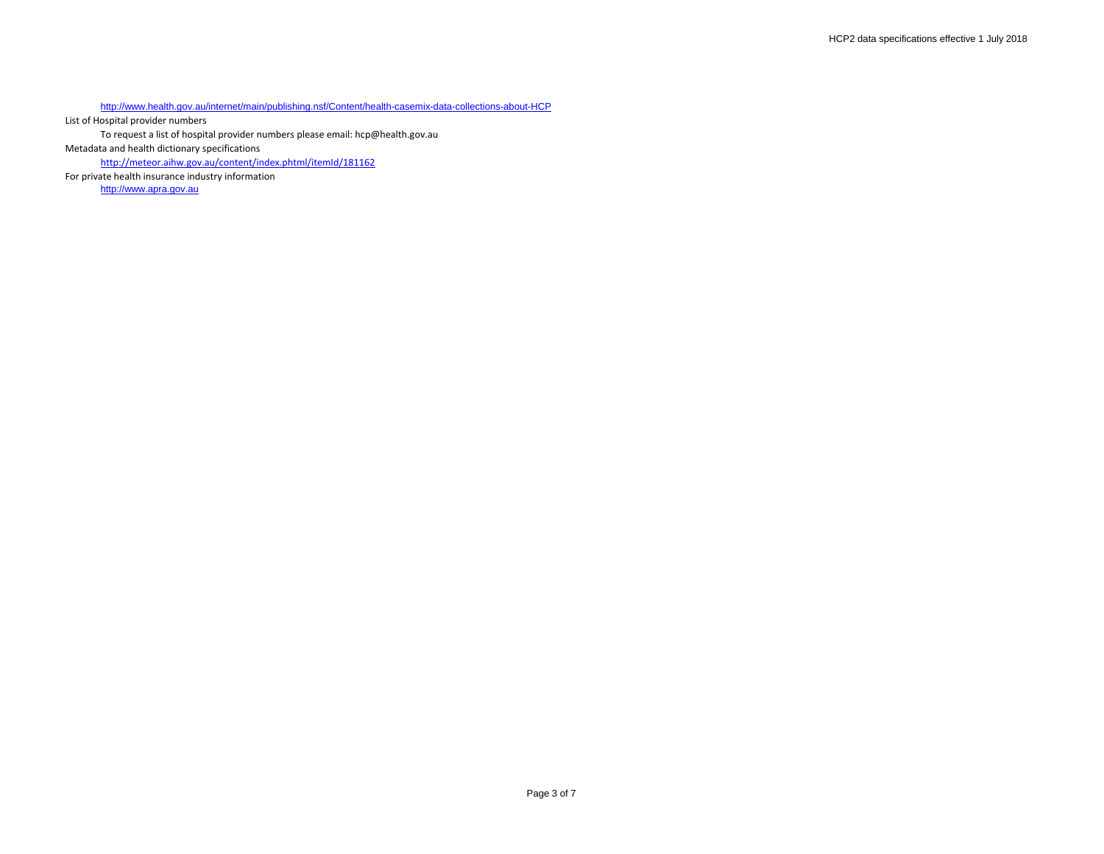<http://www.health.gov.au/internet/main/publishing.nsf/Content/health-casemix-data-collections-about-HCP>

List of Hospital provider numbers

To request a list of hospital provider numbers please email: hcp@health.gov.au

Metadata and health dictionary specifications

<http://meteor.aihw.gov.au/content/index.phtml/itemId/181162>

For private health insurance industry information [http://www.apra.gov.au](http://www.apra.gov.au/)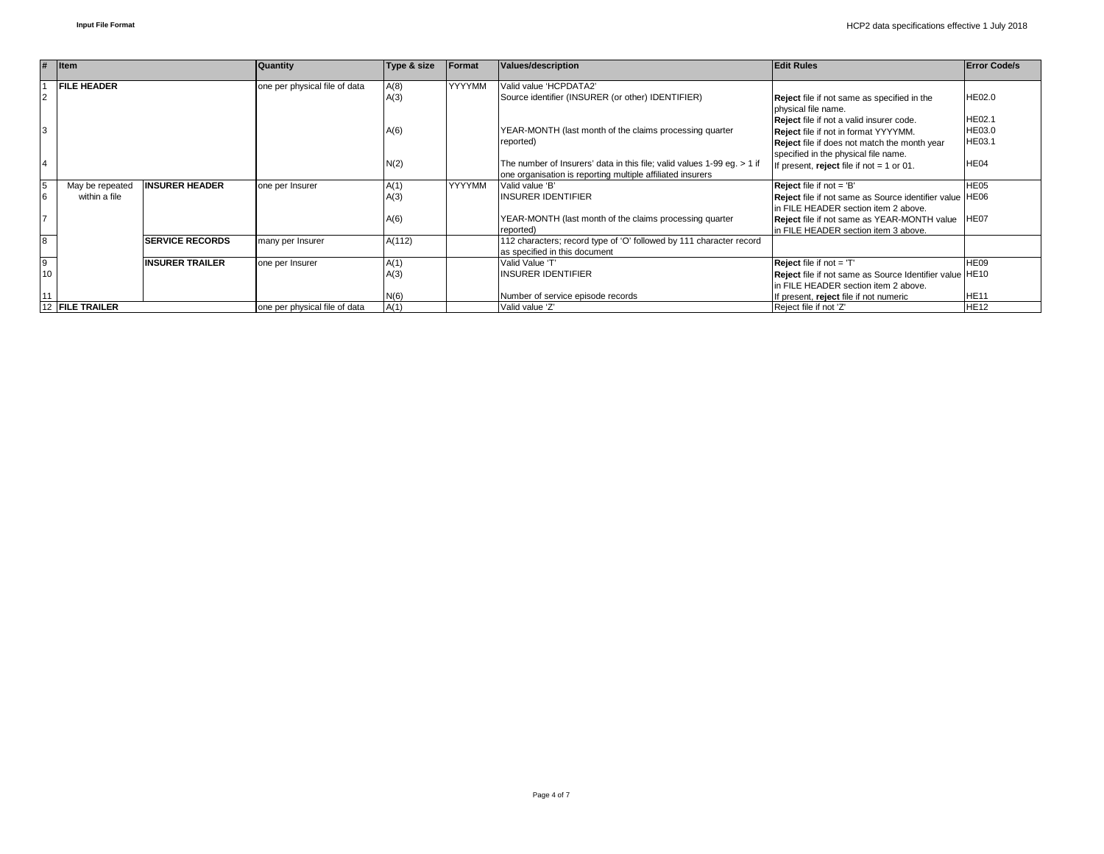| #<br>$ $ Item   |                    | <b>Quantity</b>        | Type & size<br>Format         |        | <b>Values/description</b> | <b>Edit Rules</b>                                                       | <b>Error Code/s</b>                                     |                  |
|-----------------|--------------------|------------------------|-------------------------------|--------|---------------------------|-------------------------------------------------------------------------|---------------------------------------------------------|------------------|
|                 | <b>FILE HEADER</b> |                        | one per physical file of data | A(8)   | <b>YYYYMM</b>             | Valid value 'HCPDATA2'                                                  |                                                         |                  |
| $\overline{2}$  |                    |                        |                               | A(3)   |                           | Source identifier (INSURER (or other) IDENTIFIER)                       | <b>Reject</b> file if not same as specified in the      | HE02.0           |
|                 |                    |                        |                               |        |                           |                                                                         | physical file name.                                     |                  |
|                 |                    |                        |                               |        |                           |                                                                         | Reject file if not a valid insurer code.                | HE02.1           |
| 3               |                    |                        |                               | A(6)   |                           | YEAR-MONTH (last month of the claims processing quarter                 | Reject file if not in format YYYYMM.                    | HE03.0           |
|                 |                    |                        |                               |        |                           | reported)                                                               | <b>Reject</b> file if does not match the month year     | HE03.1           |
|                 |                    |                        |                               |        |                           |                                                                         | specified in the physical file name.                    |                  |
| $\overline{4}$  |                    |                        |                               | N(2)   |                           | The number of Insurers' data in this file; valid values 1-99 eq. > 1 if | If present, reject file if not $= 1$ or 01.             | HE04             |
|                 |                    |                        |                               |        |                           | one organisation is reporting multiple affiliated insurers              |                                                         |                  |
| 5               | May be repeated    | <b>INSURER HEADER</b>  | one per Insurer               | A(1)   | YYYYMM                    | Valid value 'B'                                                         | <b>Reject</b> file if not $=$ 'B'                       | HE <sub>05</sub> |
| 6               | within a file      |                        |                               | A(3)   |                           | INSURER IDENTIFIER                                                      | Reject file if not same as Source identifier value HE06 |                  |
|                 |                    |                        |                               |        |                           |                                                                         | In FILE HEADER section item 2 above.                    |                  |
| 7               |                    |                        |                               | A(6)   |                           | YEAR-MONTH (last month of the claims processing quarter                 | <b>Reject</b> file if not same as YEAR-MONTH value      | HE07             |
|                 |                    |                        |                               |        |                           | reported)                                                               | In FILE HEADER section item 3 above.                    |                  |
| $\overline{8}$  |                    | <b>SERVICE RECORDS</b> | many per Insurer              | A(112) |                           | 112 characters; record type of 'O' followed by 111 character record     |                                                         |                  |
|                 |                    |                        |                               |        |                           | as specified in this document                                           |                                                         |                  |
| $\overline{9}$  |                    | <b>INSURER TRAILER</b> | one per Insurer               | A(1)   |                           | Valid Value 'T'                                                         | <b>Reject</b> file if not $=$ 'T                        | HE09             |
| 10              |                    |                        |                               | A(3)   |                           | INSURER IDENTIFIER                                                      | Reject file if not same as Source Identifier value HE10 |                  |
|                 |                    |                        |                               |        |                           |                                                                         | In FILE HEADER section item 2 above.                    |                  |
| 11              |                    |                        |                               | N(6)   |                           | Number of service episode records                                       | If present, reject file if not numeric                  | <b>HE11</b>      |
| 12 FILE TRAILER |                    |                        | one per physical file of data | A(1)   |                           | Valid value 'Z'                                                         | Reject file if not 'Z'                                  | <b>HE12</b>      |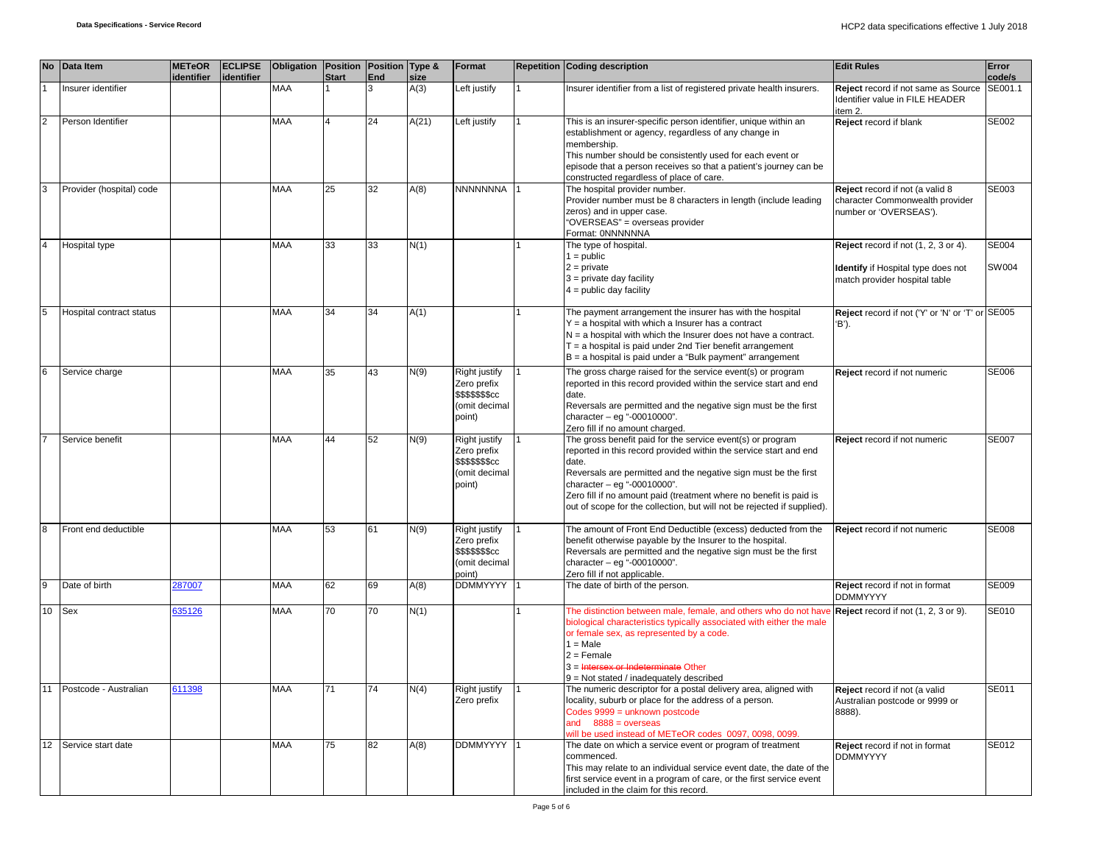|                 | No Data Item             | <b>METeOR</b><br>identifier | <b>ECLIPSE</b><br>identifier | Obligation Position Position Type & | <b>Start</b> | <b>End</b> | size  | Format                                                                      | <b>Repetition Coding description</b>                                                                                                                                                                                                                                                                                                                                                          | <b>Edit Rules</b>                                                                                                  | Error<br>code/s |
|-----------------|--------------------------|-----------------------------|------------------------------|-------------------------------------|--------------|------------|-------|-----------------------------------------------------------------------------|-----------------------------------------------------------------------------------------------------------------------------------------------------------------------------------------------------------------------------------------------------------------------------------------------------------------------------------------------------------------------------------------------|--------------------------------------------------------------------------------------------------------------------|-----------------|
|                 | Insurer identifier       |                             |                              | MAA                                 |              | 3          | A(3)  | Left justify                                                                | Insurer identifier from a list of registered private health insurers.                                                                                                                                                                                                                                                                                                                         | Reject record if not same as Source<br>Identifier value in FILE HEADER<br>item 2.                                  | SE001.1         |
| $\overline{2}$  | Person Identifier        |                             |                              | MAA                                 |              | 24         | A(21) | Left justify                                                                | This is an insurer-specific person identifier, unique within an<br>establishment or agency, regardless of any change in<br>membership.<br>This number should be consistently used for each event or<br>episode that a person receives so that a patient's journey can be<br>constructed regardless of place of care.                                                                          | Reject record if blank                                                                                             | SE002           |
| 3               | Provider (hospital) code |                             |                              | MAA                                 | 25           | 32         | A(8)  | <b>NNNNNNNA</b>                                                             | The hospital provider number.<br>Provider number must be 8 characters in length (include leading<br>zeros) and in upper case.<br>"OVERSEAS" = overseas provider<br>Format: 0NNNNNNA                                                                                                                                                                                                           | Reject record if not (a valid 8<br>character Commonwealth provider<br>number or 'OVERSEAS').                       | SE003           |
|                 | Hospital type            |                             |                              | MAA                                 | 33           | 33         | N(1)  |                                                                             | The type of hospital.<br>$1 = \text{public}$<br>$2 = private$<br>$3$ = private day facility<br>$4 =$ public day facility                                                                                                                                                                                                                                                                      | Reject record if not (1, 2, 3 or 4).<br><b>Identify</b> if Hospital type does not<br>match provider hospital table | SE004<br>SW004  |
| 5               | Hospital contract status |                             |                              | <b>MAA</b>                          | 34           | 34         | A(1)  |                                                                             | The payment arrangement the insurer has with the hospital<br>$Y = a$ hospital with which a Insurer has a contract<br>$N = a$ hospital with which the Insurer does not have a contract.<br>$T = a$ hospital is paid under 2nd Tier benefit arrangement<br>B = a hospital is paid under a "Bulk payment" arrangement                                                                            | Reject record if not ('Y' or 'N' or 'T' or SE005<br>'B').                                                          |                 |
| $6\phantom{.}6$ | Service charge           |                             |                              | <b>MAA</b>                          | 35           | 43         | N(9)  | Right justify<br>Zero prefix<br>\$\$\$\$\$\$\$cc<br>(omit decimal<br>point) | The gross charge raised for the service event(s) or program<br>reported in this record provided within the service start and end<br>date.<br>Reversals are permitted and the negative sign must be the first<br>character $-$ eg "-00010000".<br>Zero fill if no amount charged.                                                                                                              | Reject record if not numeric                                                                                       | <b>SE006</b>    |
|                 | Service benefit          |                             |                              | <b>MAA</b>                          | 44           | 52         | N(9)  | Right justify<br>Zero prefix<br>\$\$\$\$\$\$\$cc<br>(omit decimal<br>point) | The gross benefit paid for the service event(s) or program<br>reported in this record provided within the service start and end<br>date.<br>Reversals are permitted and the negative sign must be the first<br>character $-$ eg "-00010000".<br>Zero fill if no amount paid (treatment where no benefit is paid is<br>out of scope for the collection, but will not be rejected if supplied). | Reject record if not numeric                                                                                       | <b>SE007</b>    |
|                 | Front end deductible     |                             |                              | MAA                                 | 53           | 61         | N(9)  | Right justify<br>Zero prefix<br>\$\$\$\$\$\$\$cc<br>(omit decimal<br>point) | The amount of Front End Deductible (excess) deducted from the<br>benefit otherwise payable by the Insurer to the hospital.<br>Reversals are permitted and the negative sign must be the first<br>character - eg "-00010000".<br>Zero fill if not applicable.                                                                                                                                  | Reject record if not numeric                                                                                       | <b>SE008</b>    |
| 9               | Date of birth            | 287007                      |                              | MAA                                 | 62           | 69         | A(8)  | <b>DDMMYYYY</b>                                                             | The date of birth of the person.                                                                                                                                                                                                                                                                                                                                                              | Reject record if not in format<br><b>DDMMYYYY</b>                                                                  | <b>SE009</b>    |
| 10              | Sex                      | 635126                      |                              | MAA                                 | 70           | 70         | N(1)  |                                                                             | The distinction between male, female, and others who do not hay<br>biological characteristics typically associated with either the male<br>or female sex, as represented by a code.<br>$1 = Male$<br>$2 =$ Female<br>3 = Intersex or Indeterminate Other<br>9 = Not stated / inadequately described                                                                                           | Reject record if not (1, 2, 3 or 9).                                                                               | SE010           |
|                 | 11 Postcode - Australian | 611398                      |                              | MAA                                 | 71           | 74         | N(4)  | Right justify<br>Zero prefix                                                | The numeric descriptor for a postal delivery area, aligned with<br>locality, suburb or place for the address of a person.<br>Codes 9999 = unknown postcode<br>and $8888 = 0$ verseas<br>will be used instead of METeOR codes 0097, 0098, 0099.                                                                                                                                                | Reject record if not (a valid<br>Australian postcode or 9999 or<br>8888).                                          | SE011           |
| 12              | Service start date       |                             |                              | MAA                                 | 75           | 82         | A(8)  | DDMMYYYY                                                                    | The date on which a service event or program of treatment<br>commenced.<br>This may relate to an individual service event date, the date of the<br>first service event in a program of care, or the first service event<br>included in the claim for this record.                                                                                                                             | Reject record if not in format<br><b>DDMMYYYY</b>                                                                  | SE012           |